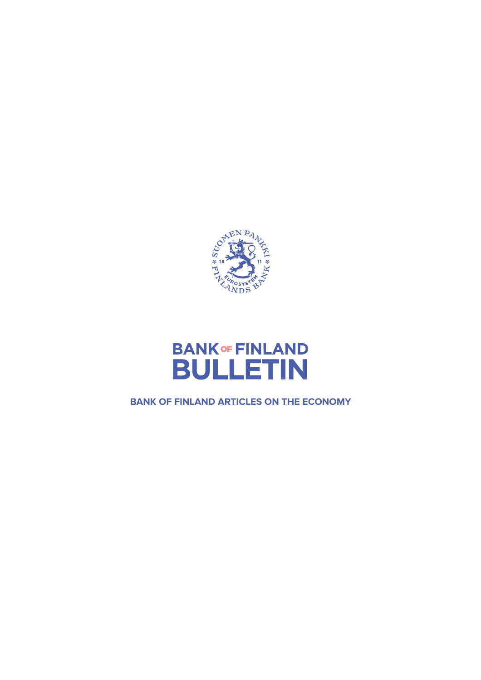



**BANK OF FINLAND ARTICLES ON THE ECONOMY**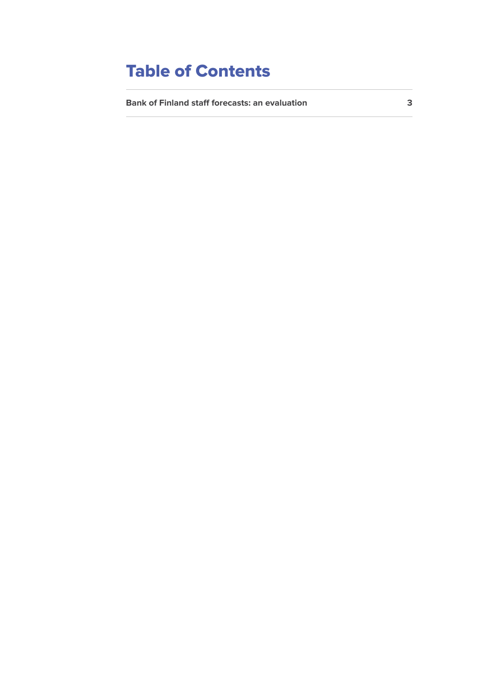# **Table of Contents**

**[Bank of Finland staff forecasts: an evaluation 3](#page-2-0)**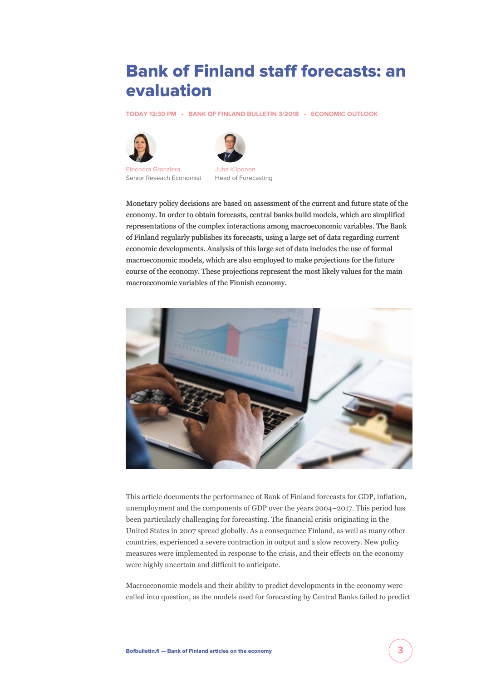## <span id="page-2-0"></span>**Bank of Finland staff forecasts: an evaluation**

**[TODAY 12:30 PM](https://www.bofbulletin.fi/en/archive/?date=2018-07-06) • [BANK OF FINLAND BULLETIN 3/2018](https://www.bofbulletin.fi/en/archive/?issue=2018-3) • [ECONOMIC OUTLOOK](https://www.bofbulletin.fi/en/economic-outlook/)**





[Eleonora Granziera](https://www.bofbulletin.fi/en/author/eleonora-granziera/) Senior Reseach Economist



Head of Forecasting

Monetary policy decisions are based on assessment of the current and future state of the economy. In order to obtain forecasts, central banks build models, which are simplified representations of the complex interactions among macroeconomic variables. The Bank of Finland regularly publishes its forecasts, using a large set of data regarding current economic developments. Analysis of this large set of data includes the use of formal macroeconomic models, which are also employed to make projections for the future course of the economy. These projections represent the most likely values for the main macroeconomic variables of the Finnish economy.



This article documents the performance of Bank of Finland forecasts for GDP, inflation, unemployment and the components of GDP over the years 2004–2017. This period has been particularly challenging for forecasting. The financial crisis originating in the United States in 2007 spread globally. As a consequence Finland, as well as many other countries, experienced a severe contraction in output and a slow recovery. New policy measures were implemented in response to the crisis, and their effects on the economy were highly uncertain and difficult to anticipate.

Macroeconomic models and their ability to predict developments in the economy were called into question, as the models used for forecasting by Central Banks failed to predict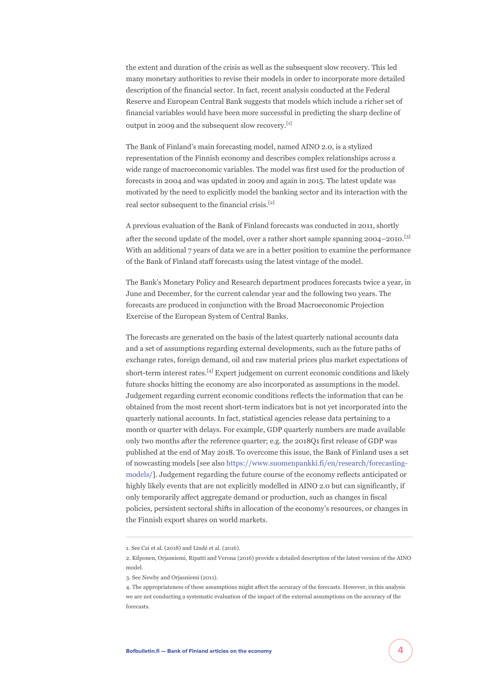the extent and duration of the crisis as well as the subsequent slow recovery. This led many monetary authorities to revise their models in order to incorporate more detailed description of the financial sector. In fact, recent analysis conducted at the Federal Reserve and European Central Bank suggests that models which include a richer set of financial variables would have been more successful in predicting the sharp decline of output in 2009 and the subsequent slow recovery.[1]

The Bank of Finland's main forecasting model, named AINO 2.0, is a stylized representation of the Finnish economy and describes complex relationships across a wide range of macroeconomic variables. The model was first used for the production of forecasts in 2004 and was updated in 2009 and again in 2015. The latest update was motivated by the need to explicitly model the banking sector and its interaction with the real sector subsequent to the financial crisis.[2]

A previous evaluation of the Bank of Finland forecasts was conducted in 2011, shortly after the second update of the model, over a rather short sample spanning 2004–2010.[3] With an additional 7 years of data we are in a better position to examine the performance of the Bank of Finland staff forecasts using the latest vintage of the model.

The Bank's Monetary Policy and Research department produces forecasts twice a year, in June and December, for the current calendar year and the following two years. The forecasts are produced in conjunction with the Broad Macroeconomic Projection Exercise of the European System of Central Banks.

The forecasts are generated on the basis of the latest quarterly national accounts data and a set of assumptions regarding external developments, such as the future paths of exchange rates, foreign demand, oil and raw material prices plus market expectations of short-term interest rates.[4] Expert judgement on current economic conditions and likely future shocks hitting the economy are also incorporated as assumptions in the model. Judgement regarding current economic conditions reflects the information that can be obtained from the most recent short-term indicators but is not yet incorporated into the quarterly national accounts. In fact, statistical agencies release data pertaining to a month or quarter with delays. For example, GDP quarterly numbers are made available only two months after the reference quarter; e.g. the 2018Q1 first release of GDP was published at the end of May 2018. To overcome this issue, the Bank of Finland uses a set of nowcasting models [see also [https://www.suomenpankki.fi/en/research/forecasting](https://www.suomenpankki.fi/en/research/forecasting-models/)[models/\]](https://www.suomenpankki.fi/en/research/forecasting-models/). Judgement regarding the future course of the economy reflects anticipated or highly likely events that are not explicitly modelled in AINO 2.0 but can significantly, if only temporarily affect aggregate demand or production, such as changes in fiscal policies, persistent sectoral shifts in allocation of the economy's resources, or changes in the Finnish export shares on world markets.

<sup>1.</sup> See Cai et al. (2018) and Lindé et al. (2016).

<sup>2.</sup> Kilponen, Orjasniemi, Ripatti and Verona (2016) provide a detailed description of the latest version of the AINO model.

<sup>3.</sup> See Newby and Orjasniemi (2011).

<sup>4.</sup> The appropriateness of these assumptions might affect the accuracy of the forecasts. However, in this analysis we are not conducting a systematic evaluation of the impact of the external assumptions on the accuracy of the forecasts.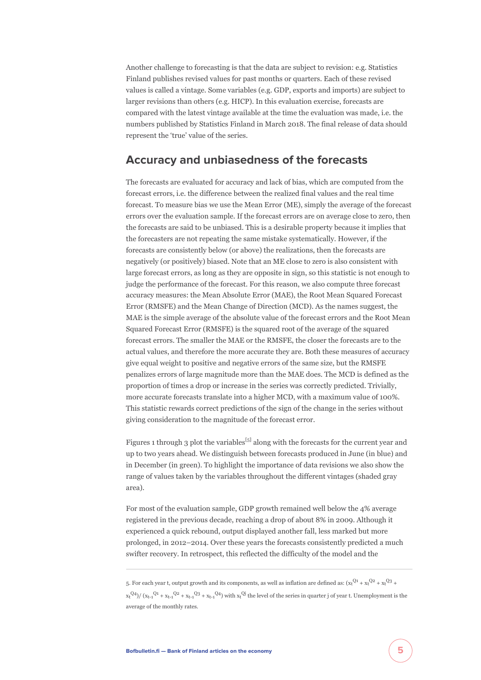Another challenge to forecasting is that the data are subject to revision: e.g. Statistics Finland publishes revised values for past months or quarters. Each of these revised values is called a vintage. Some variables (e.g. GDP, exports and imports) are subject to larger revisions than others (e.g. HICP). In this evaluation exercise, forecasts are compared with the latest vintage available at the time the evaluation was made, i.e. the numbers published by Statistics Finland in March 2018. The final release of data should represent the 'true' value of the series.

#### **Accuracy and unbiasedness of the forecasts**

The forecasts are evaluated for accuracy and lack of bias, which are computed from the forecast errors, i.e. the difference between the realized final values and the real time forecast. To measure bias we use the Mean Error (ME), simply the average of the forecast errors over the evaluation sample. If the forecast errors are on average close to zero, then the forecasts are said to be unbiased. This is a desirable property because it implies that the forecasters are not repeating the same mistake systematically. However, if the forecasts are consistently below (or above) the realizations, then the forecasts are negatively (or positively) biased. Note that an ME close to zero is also consistent with large forecast errors, as long as they are opposite in sign, so this statistic is not enough to judge the performance of the forecast. For this reason, we also compute three forecast accuracy measures: the Mean Absolute Error (MAE), the Root Mean Squared Forecast Error (RMSFE) and the Mean Change of Direction (MCD). As the names suggest, the MAE is the simple average of the absolute value of the forecast errors and the Root Mean Squared Forecast Error (RMSFE) is the squared root of the average of the squared forecast errors. The smaller the MAE or the RMSFE, the closer the forecasts are to the actual values, and therefore the more accurate they are. Both these measures of accuracy give equal weight to positive and negative errors of the same size, but the RMSFE penalizes errors of large magnitude more than the MAE does. The MCD is defined as the proportion of times a drop or increase in the series was correctly predicted. Trivially, more accurate forecasts translate into a higher MCD, with a maximum value of 100%. This statistic rewards correct predictions of the sign of the change in the series without giving consideration to the magnitude of the forecast error.

Figures 1 through 3 plot the variables<sup>[5]</sup> along with the forecasts for the current year and up to two years ahead. We distinguish between forecasts produced in June (in blue) and in December (in green). To highlight the importance of data revisions we also show the range of values taken by the variables throughout the different vintages (shaded gray area).

For most of the evaluation sample, GDP growth remained well below the 4% average registered in the previous decade, reaching a drop of about 8% in 2009. Although it experienced a quick rebound, output displayed another fall, less marked but more prolonged, in 2012–2014. Over these years the forecasts consistently predicted a much swifter recovery. In retrospect, this reflected the difficulty of the model and the

<sup>5.</sup> For each year t, output growth and its components, as well as inflation are defined as:  $(x_t^{Q1} + x_t^{Q2} + x_t^{Q3} + y_t^{Q3})$  $x_t^{(Q4)}/(x_{t-1}^{Q1} + x_{t-1}^{Q2} + x_{t-1}^{Q3} + x_{t-1}^{Q4})$  with  $x_t^{(Q)}$  the level of the series in quarter j of year t. Unemployment is the average of the monthly rates.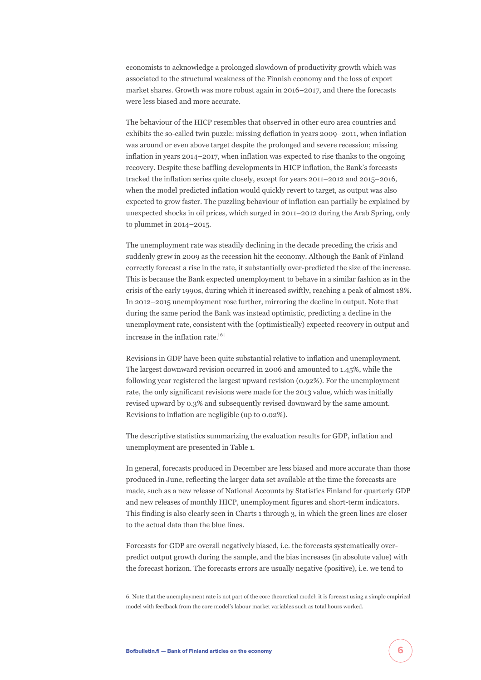economists to acknowledge a prolonged slowdown of productivity growth which was associated to the structural weakness of the Finnish economy and the loss of export market shares. Growth was more robust again in 2016–2017, and there the forecasts were less biased and more accurate.

The behaviour of the HICP resembles that observed in other euro area countries and exhibits the so-called twin puzzle: missing deflation in years 2009–2011, when inflation was around or even above target despite the prolonged and severe recession; missing inflation in years 2014–2017, when inflation was expected to rise thanks to the ongoing recovery. Despite these baffling developments in HICP inflation, the Bank's forecasts tracked the inflation series quite closely, except for years 2011–2012 and 2015–2016, when the model predicted inflation would quickly revert to target, as output was also expected to grow faster. The puzzling behaviour of inflation can partially be explained by unexpected shocks in oil prices, which surged in 2011–2012 during the Arab Spring, only to plummet in 2014–2015.

The unemployment rate was steadily declining in the decade preceding the crisis and suddenly grew in 2009 as the recession hit the economy. Although the Bank of Finland correctly forecast a rise in the rate, it substantially over-predicted the size of the increase. This is because the Bank expected unemployment to behave in a similar fashion as in the crisis of the early 1990s, during which it increased swiftly, reaching a peak of almost 18%. In 2012–2015 unemployment rose further, mirroring the decline in output. Note that during the same period the Bank was instead optimistic, predicting a decline in the unemployment rate, consistent with the (optimistically) expected recovery in output and increase in the inflation rate.<sup>[6]</sup>

Revisions in GDP have been quite substantial relative to inflation and unemployment. The largest downward revision occurred in 2006 and amounted to 1.45%, while the following year registered the largest upward revision (0.92%). For the unemployment rate, the only significant revisions were made for the 2013 value, which was initially revised upward by 0.3% and subsequently revised downward by the same amount. Revisions to inflation are negligible (up to 0.02%).

The descriptive statistics summarizing the evaluation results for GDP, inflation and unemployment are presented in Table 1.

In general, forecasts produced in December are less biased and more accurate than those produced in June, reflecting the larger data set available at the time the forecasts are made, such as a new release of National Accounts by Statistics Finland for quarterly GDP and new releases of monthly HICP, unemployment figures and short-term indicators. This finding is also clearly seen in Charts 1 through 3, in which the green lines are closer to the actual data than the blue lines.

Forecasts for GDP are overall negatively biased, i.e. the forecasts systematically overpredict output growth during the sample, and the bias increases (in absolute value) with the forecast horizon. The forecasts errors are usually negative (positive), i.e. we tend to

<sup>6.</sup> Note that the unemployment rate is not part of the core theoretical model; it is forecast using a simple empirical model with feedback from the core model's labour market variables such as total hours worked.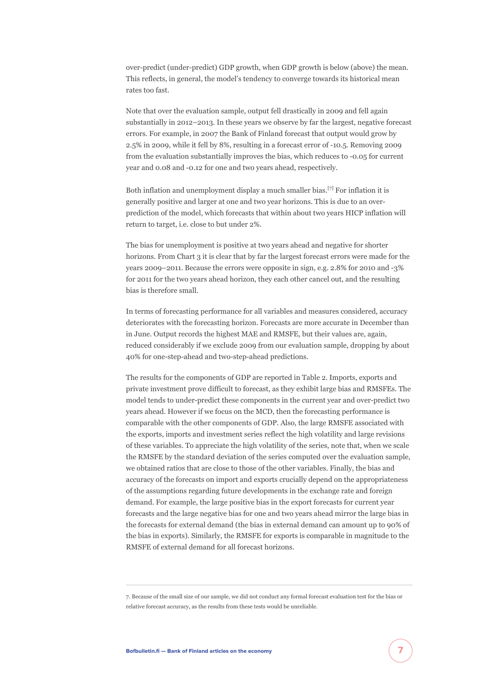over-predict (under-predict) GDP growth, when GDP growth is below (above) the mean. This reflects, in general, the model's tendency to converge towards its historical mean rates too fast.

Note that over the evaluation sample, output fell drastically in 2009 and fell again substantially in 2012–2013. In these years we observe by far the largest, negative forecast errors. For example, in 2007 the Bank of Finland forecast that output would grow by 2.5% in 2009, while it fell by 8%, resulting in a forecast error of -10.5. Removing 2009 from the evaluation substantially improves the bias, which reduces to -0.05 for current year and 0.08 and -0.12 for one and two years ahead, respectively.

Both inflation and unemployment display a much smaller bias.<sup>[7]</sup> For inflation it is generally positive and larger at one and two year horizons. This is due to an overprediction of the model, which forecasts that within about two years HICP inflation will return to target, i.e. close to but under 2%.

The bias for unemployment is positive at two years ahead and negative for shorter horizons. From Chart 3 it is clear that by far the largest forecast errors were made for the years 2009–2011. Because the errors were opposite in sign, e.g. 2.8% for 2010 and -3% for 2011 for the two years ahead horizon, they each other cancel out, and the resulting bias is therefore small.

In terms of forecasting performance for all variables and measures considered, accuracy deteriorates with the forecasting horizon. Forecasts are more accurate in December than in June. Output records the highest MAE and RMSFE, but their values are, again, reduced considerably if we exclude 2009 from our evaluation sample, dropping by about 40% for one-step-ahead and two-step-ahead predictions.

The results for the components of GDP are reported in Table 2. Imports, exports and private investment prove difficult to forecast, as they exhibit large bias and RMSFEs. The model tends to under-predict these components in the current year and over-predict two years ahead. However if we focus on the MCD, then the forecasting performance is comparable with the other components of GDP. Also, the large RMSFE associated with the exports, imports and investment series reflect the high volatility and large revisions of these variables. To appreciate the high volatility of the series, note that, when we scale the RMSFE by the standard deviation of the series computed over the evaluation sample, we obtained ratios that are close to those of the other variables. Finally, the bias and accuracy of the forecasts on import and exports crucially depend on the appropriateness of the assumptions regarding future developments in the exchange rate and foreign demand. For example, the large positive bias in the export forecasts for current year forecasts and the large negative bias for one and two years ahead mirror the large bias in the forecasts for external demand (the bias in external demand can amount up to 90% of the bias in exports). Similarly, the RMSFE for exports is comparable in magnitude to the RMSFE of external demand for all forecast horizons.

<sup>7.</sup> Because of the small size of our sample, we did not conduct any formal forecast evaluation test for the bias or relative forecast accuracy, as the results from these tests would be unreliable.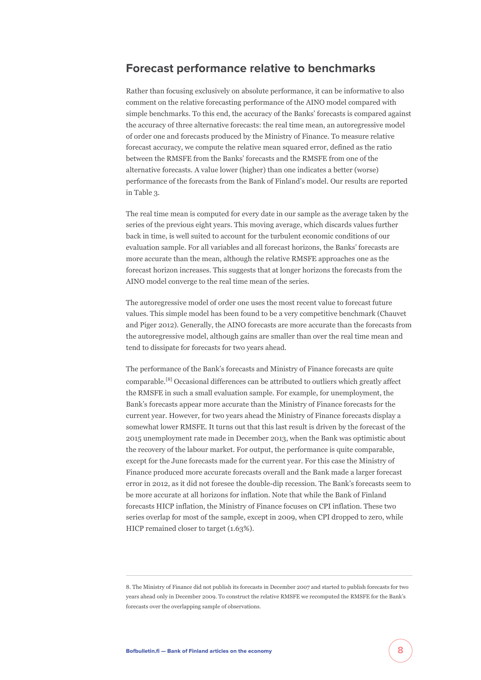#### **Forecast performance relative to benchmarks**

Rather than focusing exclusively on absolute performance, it can be informative to also comment on the relative forecasting performance of the AINO model compared with simple benchmarks. To this end, the accuracy of the Banks' forecasts is compared against the accuracy of three alternative forecasts: the real time mean, an autoregressive model of order one and forecasts produced by the Ministry of Finance. To measure relative forecast accuracy, we compute the relative mean squared error, defined as the ratio between the RMSFE from the Banks' forecasts and the RMSFE from one of the alternative forecasts. A value lower (higher) than one indicates a better (worse) performance of the forecasts from the Bank of Finland's model. Our results are reported in Table 3.

The real time mean is computed for every date in our sample as the average taken by the series of the previous eight years. This moving average, which discards values further back in time, is well suited to account for the turbulent economic conditions of our evaluation sample. For all variables and all forecast horizons, the Banks' forecasts are more accurate than the mean, although the relative RMSFE approaches one as the forecast horizon increases. This suggests that at longer horizons the forecasts from the AINO model converge to the real time mean of the series.

The autoregressive model of order one uses the most recent value to forecast future values. This simple model has been found to be a very competitive benchmark (Chauvet and Piger 2012). Generally, the AINO forecasts are more accurate than the forecasts from the autoregressive model, although gains are smaller than over the real time mean and tend to dissipate for forecasts for two years ahead.

The performance of the Bank's forecasts and Ministry of Finance forecasts are quite comparable.[8] Occasional differences can be attributed to outliers which greatly affect the RMSFE in such a small evaluation sample. For example, for unemployment, the Bank's forecasts appear more accurate than the Ministry of Finance forecasts for the current year. However, for two years ahead the Ministry of Finance forecasts display a somewhat lower RMSFE. It turns out that this last result is driven by the forecast of the 2015 unemployment rate made in December 2013, when the Bank was optimistic about the recovery of the labour market. For output, the performance is quite comparable, except for the June forecasts made for the current year. For this case the Ministry of Finance produced more accurate forecasts overall and the Bank made a larger forecast error in 2012, as it did not foresee the double-dip recession. The Bank's forecasts seem to be more accurate at all horizons for inflation. Note that while the Bank of Finland forecasts HICP inflation, the Ministry of Finance focuses on CPI inflation. These two series overlap for most of the sample, except in 2009, when CPI dropped to zero, while HICP remained closer to target (1.63%).

<sup>8.</sup> The Ministry of Finance did not publish its forecasts in December 2007 and started to publish forecasts for two years ahead only in December 2009. To construct the relative RMSFE we recomputed the RMSFE for the Bank's forecasts over the overlapping sample of observations.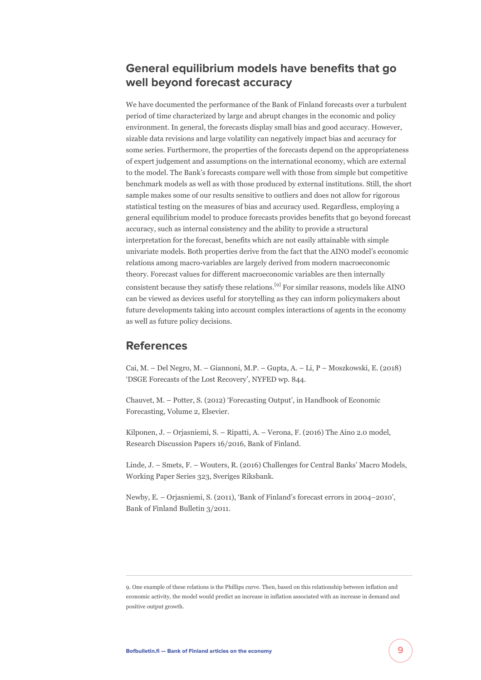### **General equilibrium models have benefits that go well beyond forecast accuracy**

We have documented the performance of the Bank of Finland forecasts over a turbulent period of time characterized by large and abrupt changes in the economic and policy environment. In general, the forecasts display small bias and good accuracy. However, sizable data revisions and large volatility can negatively impact bias and accuracy for some series. Furthermore, the properties of the forecasts depend on the appropriateness of expert judgement and assumptions on the international economy, which are external to the model. The Bank's forecasts compare well with those from simple but competitive benchmark models as well as with those produced by external institutions. Still, the short sample makes some of our results sensitive to outliers and does not allow for rigorous statistical testing on the measures of bias and accuracy used. Regardless, employing a general equilibrium model to produce forecasts provides benefits that go beyond forecast accuracy, such as internal consistency and the ability to provide a structural interpretation for the forecast, benefits which are not easily attainable with simple univariate models. Both properties derive from the fact that the AINO model's economic relations among macro-variables are largely derived from modern macroeconomic theory. Forecast values for different macroeconomic variables are then internally consistent because they satisfy these relations.[9] For similar reasons, models like AINO can be viewed as devices useful for storytelling as they can inform policymakers about future developments taking into account complex interactions of agents in the economy as well as future policy decisions.

#### **References**

Cai, M. – Del Negro, M. – Giannoni, M.P. – Gupta, A. – Li, P – Moszkowski, E. (2018) 'DSGE Forecasts of the Lost Recovery', NYFED wp. 844.

Chauvet, M. – Potter, S. (2012) 'Forecasting Output', in Handbook of Economic Forecasting, Volume 2, Elsevier.

Kilponen, J. – Orjasniemi, S. – Ripatti, A. – Verona, F. (2016) The Aino 2.0 model, Research Discussion Papers 16/2016, Bank of Finland.

Linde, J. – Smets, F. – Wouters, R. (2016) Challenges for Central Banks' Macro Models, Working Paper Series 323, Sveriges Riksbank.

Newby, E. – Orjasniemi, S. (2011), 'Bank of Finland's forecast errors in 2004–2010', Bank of Finland Bulletin 3/2011.

<sup>9.</sup> One example of these relations is the Phillips curve. Then, based on this relationship between inflation and economic activity, the model would predict an increase in inflation associated with an increase in demand and positive output growth.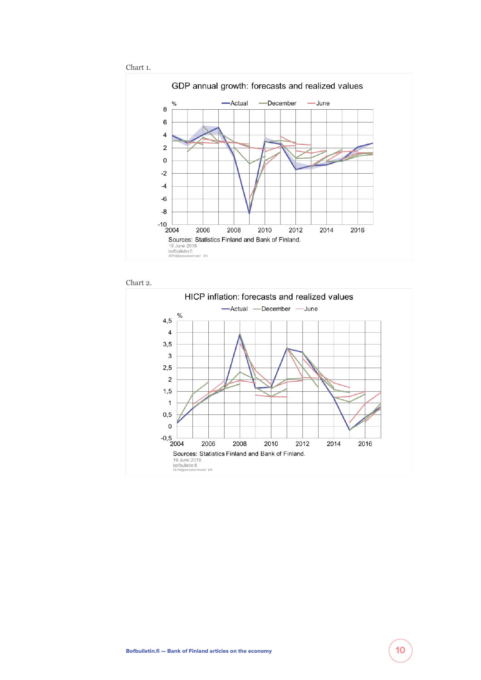





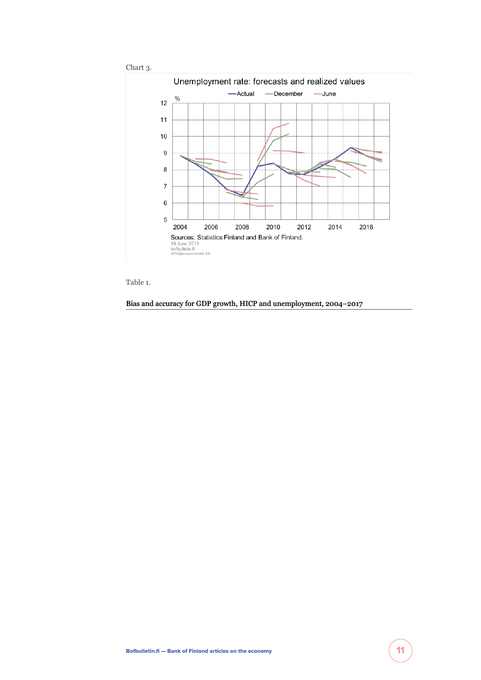

Table 1.

Bias and accuracy for GDP growth, HICP and unemployment, 2004–2017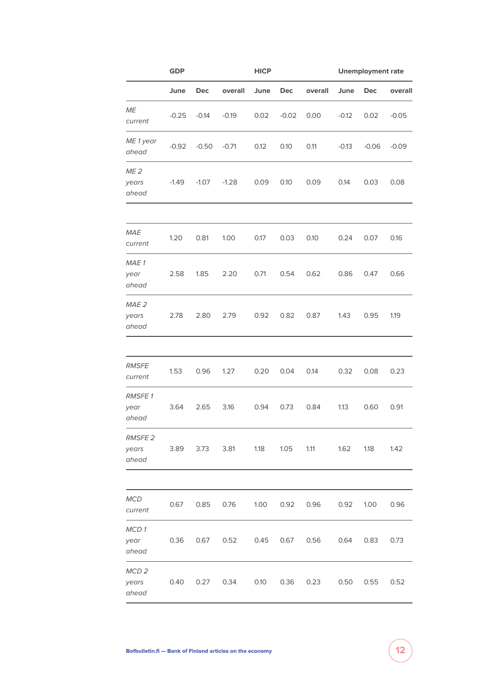|                                    | <b>GDP</b> |             |         | <b>HICP</b> |         |         | <b>Unemployment rate</b> |         |         |
|------------------------------------|------------|-------------|---------|-------------|---------|---------|--------------------------|---------|---------|
|                                    | June       | Dec         | overall | June        | Dec     | overall | June                     | Dec     | overall |
| ME<br>current                      | $-0.25$    | $-0.14$     | $-0.19$ | 0.02        | $-0.02$ | 0.00    | $-0.12$                  | 0.02    | $-0.05$ |
| ME 1 year<br>ahead                 | $-0.92$    | $-0.50$     | $-0.71$ | 0.12        | 0.10    | 0.11    | $-0.13$                  | $-0.06$ | $-0.09$ |
| ME <sub>2</sub><br>years<br>ahead  | $-1.49$    | $-1.07$     | $-1.28$ | 0.09        | 0.10    | 0.09    | 0.14                     | 0.03    | 0.08    |
| <b>MAE</b><br>current              | 1.20       | 0.81        | 1.00    | 0.17        | 0.03    | 0.10    | 0.24                     | 0.07    | 0.16    |
| MAE 1<br>year<br>ahead             | 2.58       | 1.85        | 2.20    | 0.71        | 0.54    | 0.62    | 0.86                     | 0.47    | 0.66    |
| MAE <sub>2</sub><br>years<br>ahead | 2.78       | 2.80        | 2.79    | 0.92        | 0.82    | 0.87    | 1.43                     | 0.95    | 1.19    |
|                                    |            |             |         |             |         |         |                          |         |         |
| <b>RMSFE</b><br>current            | 1.53       | 0.96        | 1.27    | 0.20        | 0.04    | 0.14    | 0.32                     | 0.08    | 0.23    |
| <b>RMSFE1</b><br>year<br>ahead     | 3.64       | 2.65        | 3.16    | 0.94        | 0.73    | 0.84    | 1.13                     | 0.60    | 0.91    |
| <b>RMSFE 2</b><br>years<br>ahead   | 3.89       | 3.73        | 3.81    | 1.18        | 1.05    | 1.11    | 1.62                     | 1.18    | 1.42    |
|                                    |            |             |         |             |         |         |                          |         |         |
| MCD<br>current                     | 0.67       | 0.85        | 0.76    | 1.00        | 0.92    | 0.96    | 0.92                     | 1.00    | 0.96    |
| MCD1<br>year<br>ahead              | 0.36       | 0.67        | 0.52    | 0.45        | 0.67    | 0.56    | 0.64                     | 0.83    | 0.73    |
| MCD <sub>2</sub><br>years<br>ahead | 0.40       | $0.27$ 0.34 |         | 0.10        | 0.36    | 0.23    | 0.50                     | 0.55    | 0.52    |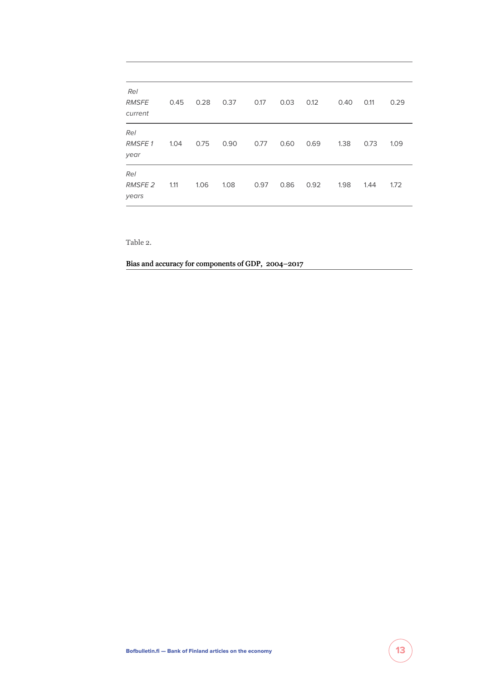| Rel<br><b>RMSFE</b><br>current | 0.45 | 0.28 | 0.37 | 0.17 | 0.03 | 0.12 | 0.40 | 0.11 | 0.29 |
|--------------------------------|------|------|------|------|------|------|------|------|------|
| Rel<br><b>RMSFE1</b><br>year   | 1.04 | 0.75 | 0.90 | 0.77 | 0.60 | 0.69 | 1.38 | 0.73 | 1.09 |
| Rel<br><b>RMSFE 2</b><br>years | 1.11 | 1.06 | 1.08 | 0.97 | 0.86 | 0.92 | 1.98 | 1.44 | 1.72 |

Table 2.

Bias and accuracy for components of GDP, 2004–2017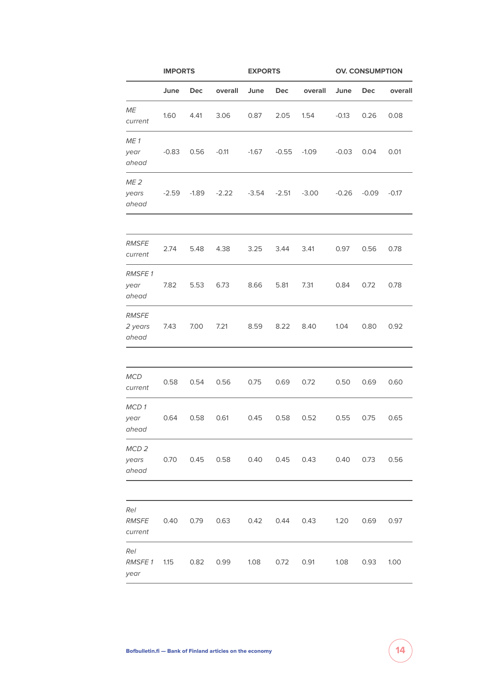|                                    | <b>IMPORTS</b> |         |           | <b>EXPORTS</b> |         |                                          | <b>OV. CONSUMPTION</b> |         |         |  |
|------------------------------------|----------------|---------|-----------|----------------|---------|------------------------------------------|------------------------|---------|---------|--|
|                                    | June           | Dec     | overall   | June           | Dec     | overall                                  | June                   | Dec     | overall |  |
| ME<br>current                      | 1.60           | 4.41    | 3.06      | 0.87           | 2.05    | 1.54                                     | $-0.13$                | 0.26    | 0.08    |  |
| ME <sub>1</sub><br>year<br>ahead   | $-0.83$        | 0.56    | $-0.11$   | $-1.67$        | $-0.55$ | $-1.09$                                  | $-0.03$                | 0.04    | 0.01    |  |
| ME <sub>2</sub><br>years<br>ahead  | $-2.59$        | $-1.89$ | $-2.22$   | $-3.54$        | $-2.51$ | $-3.00$                                  | $-0.26$                | $-0.09$ | $-0.17$ |  |
|                                    |                |         |           |                |         |                                          |                        |         |         |  |
| <b>RMSFE</b><br>current            | 2.74           | 5.48    | 4.38      | 3.25           | 3.44    | 3.41                                     | 0.97                   | 0.56    | 0.78    |  |
| <b>RMSFE1</b><br>year<br>ahead     | 7.82           | 5.53    | 6.73      | 8.66           | 5.81    | 7.31                                     | 0.84                   | 0.72    | 0.78    |  |
| <b>RMSFE</b><br>2 years<br>ahead   | 7.43           | 7.00    | 7.21      | 8.59           | 8.22    | 8.40                                     | 1.04                   | 0.80    | 0.92    |  |
|                                    |                |         |           |                |         |                                          |                        |         |         |  |
| <b>MCD</b><br>current              | 0.58           | 0.54    | 0.56      | 0.75           | 0.69    | 0.72                                     | 0.50                   | 0.69    | 0.60    |  |
| MCD1<br>year<br>ahead              | 0.64           | 0.58    | 0.61      | 0.45           | 0.58    | 0.52                                     | 0.55                   | 0.75    | 0.65    |  |
| MCD <sub>2</sub><br>years<br>ahead |                |         |           |                |         | 0.70  0.45  0.58  0.40  0.45  0.43  0.40 |                        | 0.73    | 0.56    |  |
|                                    |                |         |           |                |         |                                          |                        |         |         |  |
| Rel<br>current                     |                |         | 0.63 0.42 |                | 0.44    | 0.43 1.20                                |                        | 0.69    | 0.97    |  |
| Rel<br><b>RMSFE1</b><br>year       | 1.15           | 0.82    | 0.99      | 1.08 0.72      |         | 0.91                                     | 1.08                   | 0.93    | 1.00    |  |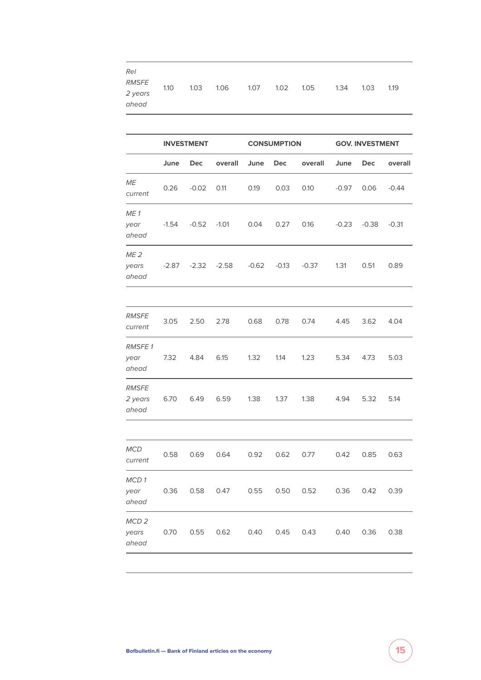| <b>Rel</b><br><b>RMSFE</b><br>2 years<br>ahead | 1.10    | 1.03              | 1.06    | 1.07    | 1.02               | 1.05    | 1.34    | 1.03                   | 1.19    |  |  |
|------------------------------------------------|---------|-------------------|---------|---------|--------------------|---------|---------|------------------------|---------|--|--|
|                                                |         |                   |         |         |                    |         |         |                        |         |  |  |
|                                                |         | <b>INVESTMENT</b> |         |         | <b>CONSUMPTION</b> |         |         | <b>GOV. INVESTMENT</b> |         |  |  |
|                                                | June    | Dec               | overall | June    | <b>Dec</b>         | overall | June    | <b>Dec</b>             | overall |  |  |
| ME<br>current                                  | 0.26    | $-0.02$           | 0.11    | 0.19    | 0.03               | 0.10    | $-0.97$ | 0.06                   | $-0.44$ |  |  |
| ME <sub>1</sub><br>year<br>ahead               | $-1.54$ | $-0.52$           | $-1.01$ | 0.04    | 0.27               | 0.16    | $-0.23$ | $-0.38$                | $-0.31$ |  |  |
| ME <sub>2</sub><br>years<br>ahead              | $-2.87$ | $-2.32$           | $-2.58$ | $-0.62$ | $-0.13$            | $-0.37$ | 1.31    | 0.51                   | 0.89    |  |  |
|                                                |         |                   |         |         |                    |         |         |                        |         |  |  |
| <i>RMSFE</i><br>current                        | 3.05    | 2.50              | 2.78    | 0.68    | 0.78               | 0.74    | 4.45    | 3.62                   | 4.04    |  |  |
| <b>RMSFE1</b><br>year<br>ahead                 | 7.32    | 4.84              | 6.15    | 1.32    | 1.14               | 1.23    | 5.34    | 4.73                   | 5.03    |  |  |
| <b>RMSFE</b><br>2 years<br>ahead               | 6.70    | 6.49              | 6.59    | 1.38    | 1.37               | 1.38    | 4.94    | 5.32                   | 5.14    |  |  |
|                                                |         |                   |         |         |                    |         |         |                        |         |  |  |
| MCD<br>current                                 | 0.58    | 0.69              | 0.64    | 0.92    | 0.62               | 0.77    | 0.42    | 0.85                   | 0.63    |  |  |
| MCD1<br>year<br>ahead                          | 0.36    | 0.58              | 0.47    | 0.55    | 0.50               | 0.52    | 0.36    | 0.42                   | 0.39    |  |  |
| MCD <sub>2</sub><br>years<br>ahead             | 0.70    | 0.55              | 0.62    | 0.40    | 0.45               | 0.43    | 0.40    | 0.36                   | 0.38    |  |  |
|                                                |         |                   |         |         |                    |         |         |                        |         |  |  |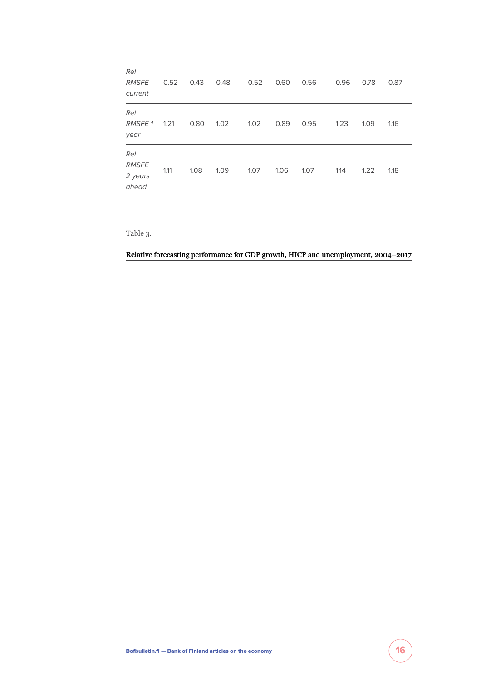| Rel<br><b>RMSFE</b><br>current          | 0.52 | 0.43 | 0.48 | 0.52 | 0.60 | 0.56 | 0.96 | 0.78 | 0.87 |
|-----------------------------------------|------|------|------|------|------|------|------|------|------|
| Rel<br><b>RMSFE1</b><br>year            | 1.21 | 0.80 | 1.02 | 1.02 | 0.89 | 0.95 | 1.23 | 1.09 | 1.16 |
| Rel<br><b>RMSFE</b><br>2 years<br>ahead | 1.11 | 1.08 | 1.09 | 1.07 | 1.06 | 1.07 | 1.14 | 1.22 | 1.18 |

Table 3.

Relative forecasting performance for GDP growth, HICP and unemployment, 2004–2017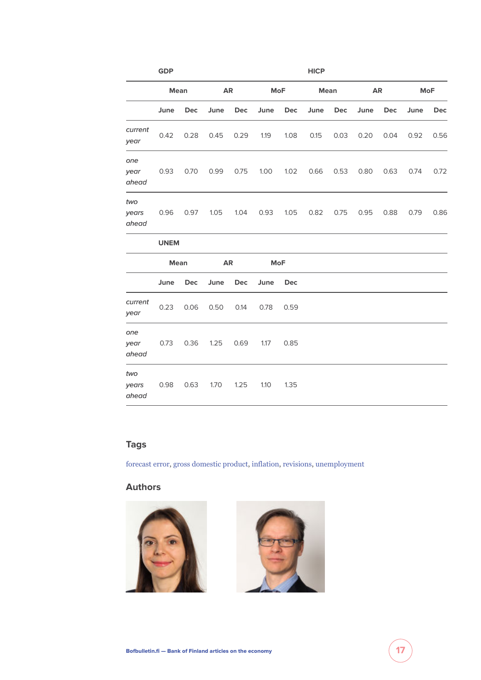|                       | <b>GDP</b>  |            |           |            |      |            | <b>HICP</b> |      |           |      |            |            |
|-----------------------|-------------|------------|-----------|------------|------|------------|-------------|------|-----------|------|------------|------------|
|                       | <b>Mean</b> |            | <b>AR</b> |            |      | <b>MoF</b> |             | Mean | <b>AR</b> |      | <b>MoF</b> |            |
|                       | June        | Dec        | June      | Dec        | June | Dec        | June        | Dec  | June      | Dec  | June       | <b>Dec</b> |
| current<br>year       | 0.42        | 0.28       | 0.45      | 0.29       | 1.19 | 1.08       | 0.15        | 0.03 | 0.20      | 0.04 | 0.92       | 0.56       |
| one<br>year<br>ahead  | 0.93        | 0.70       | 0.99      | 0.75       | 1.00 | 1.02       | 0.66        | 0.53 | 0.80      | 0.63 | 0.74       | 0.72       |
| two<br>years<br>ahead | 0.96        | 0.97       | 1.05      | 1.04       | 0.93 | 1.05       | 0.82        | 0.75 | 0.95      | 0.88 | 0.79       | 0.86       |
|                       | <b>UNEM</b> |            |           |            |      |            |             |      |           |      |            |            |
|                       | <b>Mean</b> | <b>AR</b>  |           | <b>MoF</b> |      |            |             |      |           |      |            |            |
|                       | June        | <b>Dec</b> | June      | Dec        | June | <b>Dec</b> |             |      |           |      |            |            |
| current<br>year       | 0.23        | 0.06       | 0.50      | 0.14       | 0.78 | 0.59       |             |      |           |      |            |            |
| one<br>year<br>ahead  | 0.73        | 0.36       | 1.25      | 0.69       | 1.17 | 0.85       |             |      |           |      |            |            |
| two<br>years<br>ahead | 0.98        | 0.63       | 1.70      | 1.25       | 1.10 | 1.35       |             |      |           |      |            |            |

### **Tags**

[forecast error,](https://www.bofbulletin.fi/en/keyword/forecast-error/) [gross domestic product,](https://www.bofbulletin.fi/en/keyword/gross-domestic-product/) [inflation](https://www.bofbulletin.fi/en/keyword/inflation/), [revisions,](https://www.bofbulletin.fi/en/keyword/revisions/) [unemployment](https://www.bofbulletin.fi/en/keyword/unemployment/)

#### **Authors**